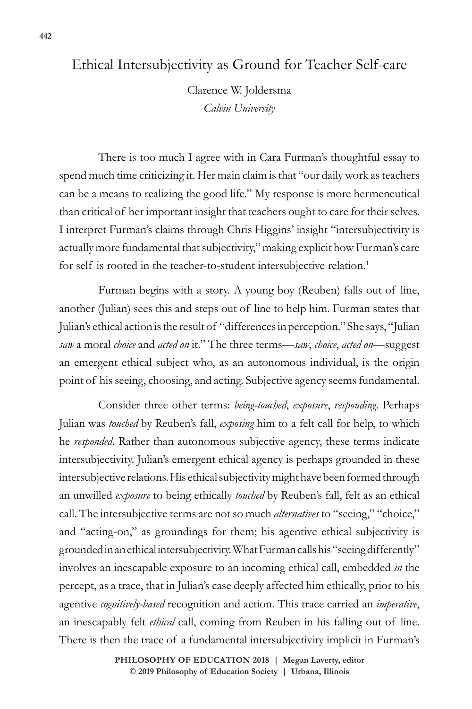## Ethical Intersubjectivity as Ground for Teacher Self-care

Clarence W. Joldersma *Calvin University*

There is too much I agree with in Cara Furman's thoughtful essay to spend much time criticizing it. Her main claim is that "our daily work as teachers can be a means to realizing the good life." My response is more hermeneutical than critical of her important insight that teachers ought to care for their selves. I interpret Furman's claims through Chris Higgins' insight "intersubjectivity is actually more fundamental that subjectivity," making explicit how Furman's care for self is rooted in the teacher-to-student intersubjective relation.<sup>1</sup>

Furman begins with a story. A young boy (Reuben) falls out of line, another (Julian) sees this and steps out of line to help him. Furman states that Julian's ethical action is the result of "differences in perception." She says, "Julian *saw* a moral *choice* and *acted on* it." The three terms—*saw*, *choice*, *acted on*—suggest an emergent ethical subject who, as an autonomous individual, is the origin point of his seeing, choosing, and acting. Subjective agency seems fundamental.

Consider three other terms: *being-touched*, *exposure*, *responding*. Perhaps Julian was *touched* by Reuben's fall, *exposing* him to a felt call for help, to which he *responded*. Rather than autonomous subjective agency, these terms indicate intersubjectivity. Julian's emergent ethical agency is perhaps grounded in these intersubjective relations. His ethical subjectivity might have been formed through an unwilled *exposure* to being ethically *touched* by Reuben's fall, felt as an ethical call. The intersubjective terms are not so much *alternatives* to "seeing," "choice," and "acting-on," as groundings for them; his agentive ethical subjectivity is grounded in an ethical intersubjectivity. What Furman calls his "seeing differently" involves an inescapable exposure to an incoming ethical call, embedded *in* the percept, as a trace, that in Julian's case deeply affected him ethically, prior to his agentive *cognitively-based* recognition and action. This trace carried an *imperative*, an inescapably felt *ethical* call, coming from Reuben in his falling out of line. There is then the trace of a fundamental intersubjectivity implicit in Furman's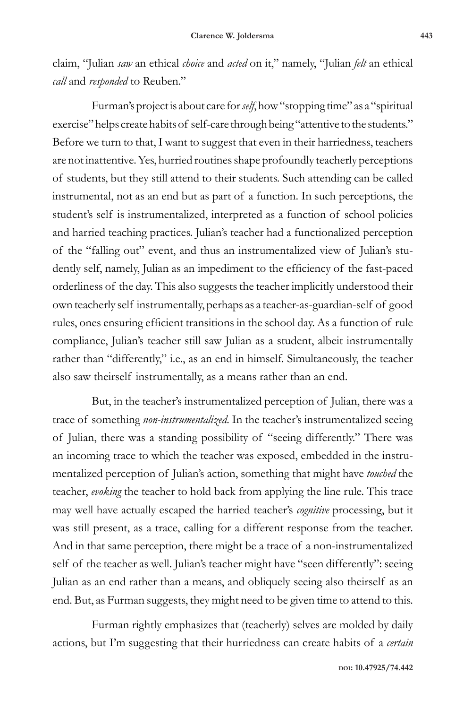claim, "Julian *saw* an ethical *choice* and *acted* on it," namely, "Julian *felt* an ethical *call* and *responded* to Reuben."

Furman's project is about care for *self*, how "stopping time" as a "spiritual exercise" helps create habits of self-care through being "attentive to the students." Before we turn to that, I want to suggest that even in their harriedness, teachers are not inattentive. Yes, hurried routines shape profoundly teacherly perceptions of students, but they still attend to their students. Such attending can be called instrumental, not as an end but as part of a function. In such perceptions, the student's self is instrumentalized, interpreted as a function of school policies and harried teaching practices. Julian's teacher had a functionalized perception of the "falling out" event, and thus an instrumentalized view of Julian's studently self, namely, Julian as an impediment to the efficiency of the fast-paced orderliness of the day. This also suggests the teacher implicitly understood their own teacherly self instrumentally, perhaps as a teacher-as-guardian-self of good rules, ones ensuring efficient transitions in the school day. As a function of rule compliance, Julian's teacher still saw Julian as a student, albeit instrumentally rather than "differently," i.e., as an end in himself. Simultaneously, the teacher also saw theirself instrumentally, as a means rather than an end.

But, in the teacher's instrumentalized perception of Julian, there was a trace of something *non-instrumentalized*. In the teacher's instrumentalized seeing of Julian, there was a standing possibility of "seeing differently." There was an incoming trace to which the teacher was exposed, embedded in the instrumentalized perception of Julian's action, something that might have *touched* the teacher, *evoking* the teacher to hold back from applying the line rule. This trace may well have actually escaped the harried teacher's *cognitive* processing, but it was still present, as a trace, calling for a different response from the teacher. And in that same perception, there might be a trace of a non-instrumentalized self of the teacher as well. Julian's teacher might have "seen differently": seeing Julian as an end rather than a means, and obliquely seeing also theirself as an end. But, as Furman suggests, they might need to be given time to attend to this.

Furman rightly emphasizes that (teacherly) selves are molded by daily actions, but I'm suggesting that their hurriedness can create habits of a *certain*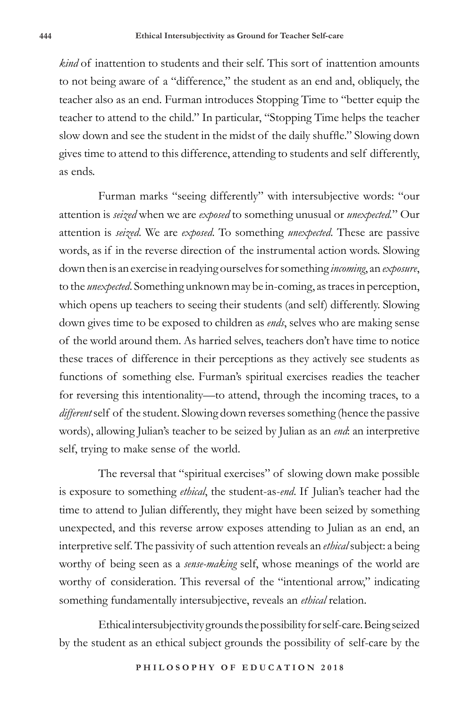*kind* of inattention to students and their self. This sort of inattention amounts to not being aware of a "difference," the student as an end and, obliquely, the teacher also as an end. Furman introduces Stopping Time to "better equip the teacher to attend to the child." In particular, "Stopping Time helps the teacher slow down and see the student in the midst of the daily shuffle." Slowing down gives time to attend to this difference, attending to students and self differently, as ends.

Furman marks "seeing differently" with intersubjective words: "our attention is *seized* when we are *exposed* to something unusual or *unexpected.*" Our attention is *seized*. We are *exposed*. To something *unexpected*. These are passive words, as if in the reverse direction of the instrumental action words. Slowing down then is an exercise in readying ourselves for something *incoming*, an *exposure*, to the *unexpected*. Something unknown may be in-coming, as traces in perception, which opens up teachers to seeing their students (and self) differently. Slowing down gives time to be exposed to children as *ends*, selves who are making sense of the world around them. As harried selves, teachers don't have time to notice these traces of difference in their perceptions as they actively see students as functions of something else. Furman's spiritual exercises readies the teacher for reversing this intentionality—to attend, through the incoming traces, to a *different* self of the student. Slowing down reverses something (hence the passive words), allowing Julian's teacher to be seized by Julian as an *end*: an interpretive self, trying to make sense of the world.

The reversal that "spiritual exercises" of slowing down make possible is exposure to something *ethical*, the student-as-*end*. If Julian's teacher had the time to attend to Julian differently, they might have been seized by something unexpected, and this reverse arrow exposes attending to Julian as an end, an interpretive self. The passivity of such attention reveals an *ethical* subject: a being worthy of being seen as a *sense-making* self, whose meanings of the world are worthy of consideration. This reversal of the "intentional arrow," indicating something fundamentally intersubjective, reveals an *ethical* relation.

Ethical intersubjectivity grounds the possibility for self-care. Being seized by the student as an ethical subject grounds the possibility of self-care by the